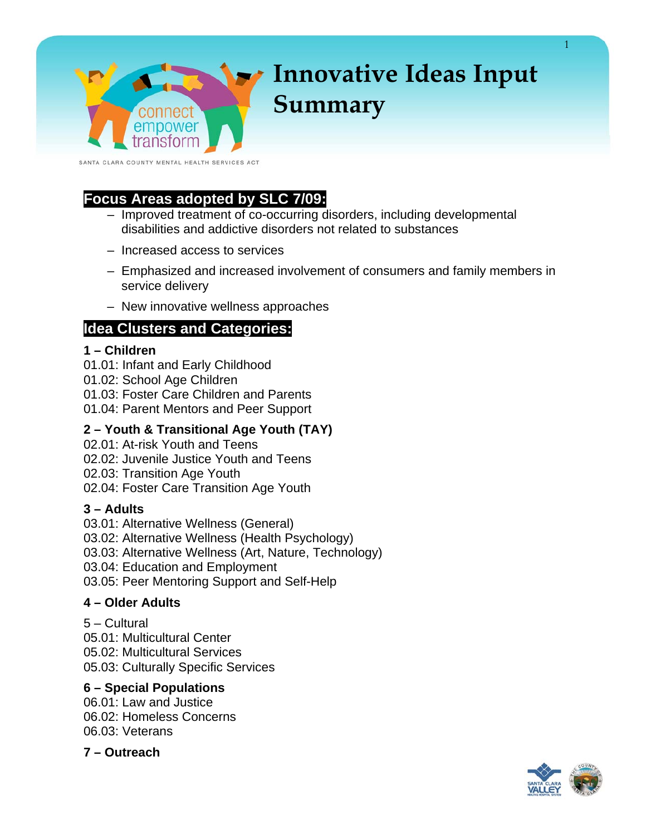SANTA CLARA COUNTY MENTAL HEALTH SERVICES ACT

connect empower

# **Focus Areas adopted by SLC 7/09:**

- Improved treatment of co-occurring disorders, including developmental disabilities and addictive disorders not related to substances
- Increased access to services
- Emphasized and increased involvement of consumers and family members in service delivery
- New innovative wellness approaches

## **Idea Clusters and Categories:**

### **1 – Children**

- 01.01: Infant and Early Childhood
- 01.02: School Age Children
- 01.03: Foster Care Children and Parents
- 01.04: Parent Mentors and Peer Support

## **2 – Youth & Transitional Age Youth (TAY)**

- 02.01: At-risk Youth and Teens
- 02.02: Juvenile Justice Youth and Teens
- 02.03: Transition Age Youth
- 02.04: Foster Care Transition Age Youth

## **3 – Adults**

- 03.01: Alternative Wellness (General)
- 03.02: Alternative Wellness (Health Psychology)
- 03.03: Alternative Wellness (Art, Nature, Technology)
- 03.04: Education and Employment
- 03.05: Peer Mentoring Support and Self-Help

### **4 – Older Adults**

5 – Cultural 05.01: Multicultural Center 05.02: Multicultural Services 05.03: Culturally Specific Services

## **6 – Special Populations**

06.01: Law and Justice 06.02: Homeless Concerns 06.03: Veterans

**7 – Outreach** 



1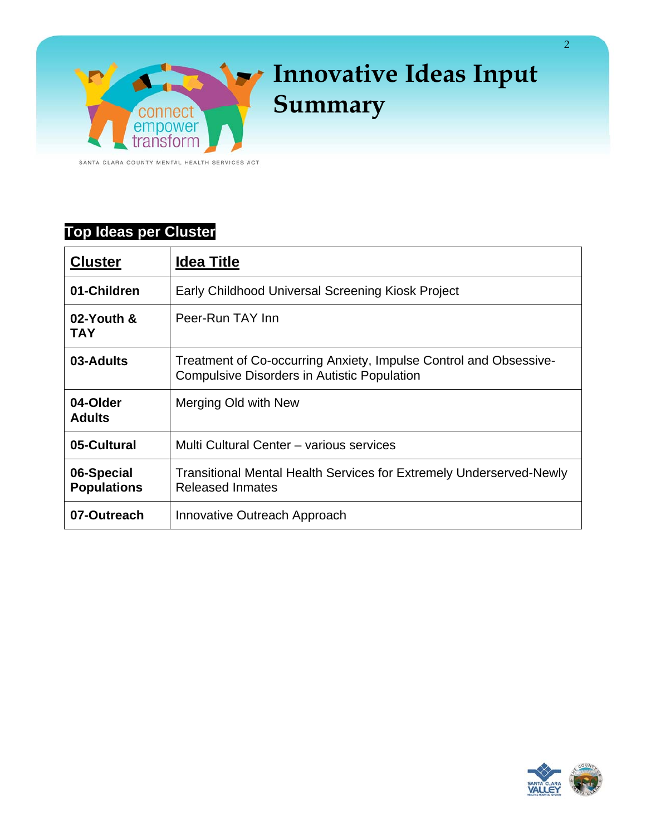

SANTA CLARA COUNTY MENTAL HEALTH SERVICES ACT

# **Top Ideas per Cluster**

| <b>Cluster</b>                   | <b>Idea Title</b>                                                                                                       |
|----------------------------------|-------------------------------------------------------------------------------------------------------------------------|
| 01-Children                      | Early Childhood Universal Screening Kiosk Project                                                                       |
| 02-Youth &<br><b>TAY</b>         | Peer-Run TAY Inn                                                                                                        |
| 03-Adults                        | Treatment of Co-occurring Anxiety, Impulse Control and Obsessive-<br><b>Compulsive Disorders in Autistic Population</b> |
| 04-Older<br><b>Adults</b>        | Merging Old with New                                                                                                    |
| 05-Cultural                      | Multi Cultural Center - various services                                                                                |
| 06-Special<br><b>Populations</b> | <b>Transitional Mental Health Services for Extremely Underserved-Newly</b><br><b>Released Inmates</b>                   |
| 07-Outreach                      | Innovative Outreach Approach                                                                                            |

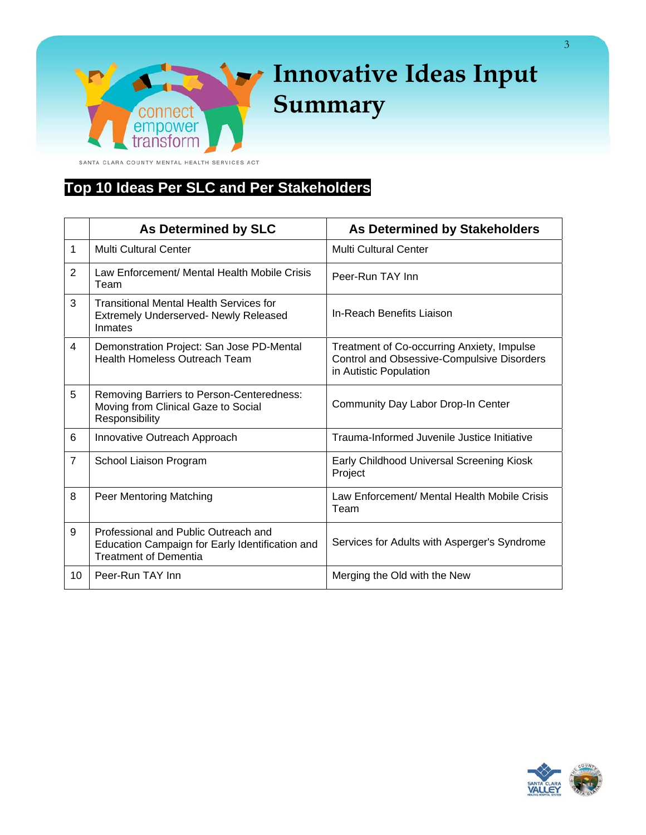ansform SANTA CLARA COUNTY MENTAL HEALTH SERVICES ACT

connect empower

# **Top 10 Ideas Per SLC and Per Stakeholders**

 $\overline{\mathcal{L}}$ 

|                | <b>As Determined by SLC</b><br><b>As Determined by Stakeholders</b>                                                     |                                                                                                                           |  |
|----------------|-------------------------------------------------------------------------------------------------------------------------|---------------------------------------------------------------------------------------------------------------------------|--|
| 1              | <b>Multi Cultural Center</b>                                                                                            | Multi Cultural Center                                                                                                     |  |
| 2              | Law Enforcement/ Mental Health Mobile Crisis<br>Team                                                                    | Peer-Run TAY Inn                                                                                                          |  |
| 3              | <b>Transitional Mental Health Services for</b><br><b>Extremely Underserved- Newly Released</b><br>Inmates               | In-Reach Benefits Liaison                                                                                                 |  |
| 4              | Demonstration Project: San Jose PD-Mental<br><b>Health Homeless Outreach Team</b>                                       | Treatment of Co-occurring Anxiety, Impulse<br><b>Control and Obsessive-Compulsive Disorders</b><br>in Autistic Population |  |
| 5              | Removing Barriers to Person-Centeredness:<br>Moving from Clinical Gaze to Social<br>Responsibility                      | Community Day Labor Drop-In Center                                                                                        |  |
| 6              | Innovative Outreach Approach                                                                                            | Trauma-Informed Juvenile Justice Initiative                                                                               |  |
| $\overline{7}$ | School Liaison Program                                                                                                  | Early Childhood Universal Screening Kiosk<br>Project                                                                      |  |
| 8              | Peer Mentoring Matching                                                                                                 | Law Enforcement/ Mental Health Mobile Crisis<br>Team                                                                      |  |
| 9              | Professional and Public Outreach and<br>Education Campaign for Early Identification and<br><b>Treatment of Dementia</b> | Services for Adults with Asperger's Syndrome                                                                              |  |
| 10             | Peer-Run TAY Inn                                                                                                        | Merging the Old with the New                                                                                              |  |

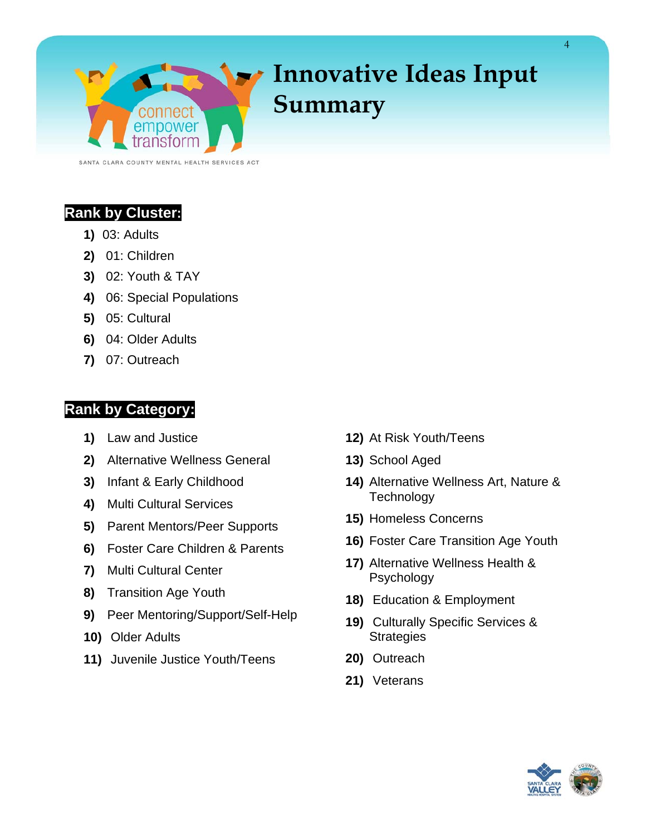

SANTA CLARA COUNTY MENTAL HEALTH SERVICES ACT

# **Rank by Cluster:**

- **1)** 03: Adults
- **2)** 01: Children
- **3)** 02: Youth & TAY
- **4)** 06: Special Populations
- **5)** 05: Cultural
- **6)** 04: Older Adults
- **7)** 07: Outreach

# **Rank by Category:**

- **1)** Law and Justice
- **2)** Alternative Wellness General
- **3)** Infant & Early Childhood
- **4)** Multi Cultural Services
- **5)** Parent Mentors/Peer Supports
- **6)** Foster Care Children & Parents
- **7)** Multi Cultural Center
- **8)** Transition Age Youth
- **9)** Peer Mentoring/Support/Self-Help
- **10)** Older Adults
- **11)** Juvenile Justice Youth/Teens
- **12)** At Risk Youth/Teens
- **13)** School Aged
- **14)** Alternative Wellness Art, Nature & **Technology**
- **15)** Homeless Concerns
- **16)** Foster Care Transition Age Youth
- **17)** Alternative Wellness Health & Psychology
- **18)** Education & Employment
- **19)** Culturally Specific Services & **Strategies**
- **20)** Outreach
- **21)** Veterans

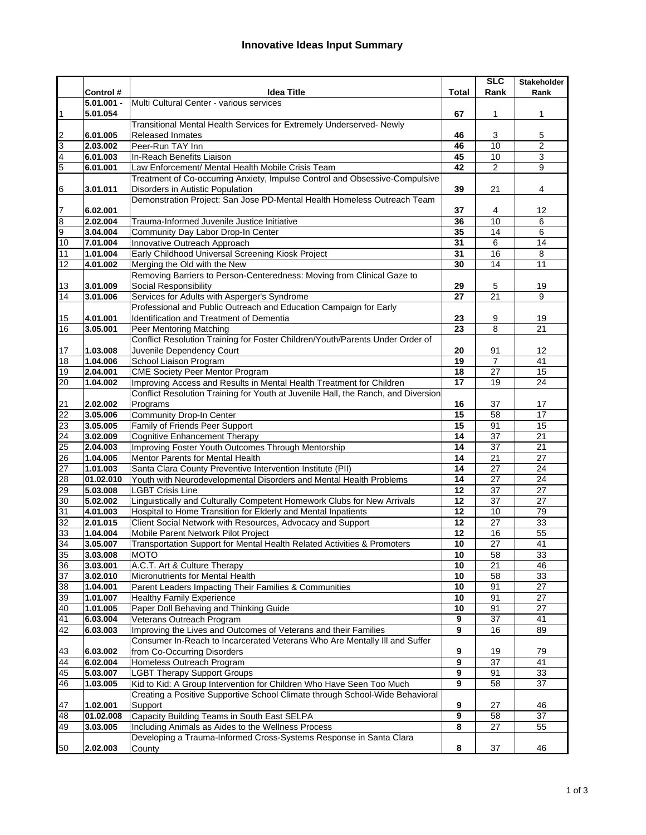|                       |                      |                                                                                     |                 | SLC             | <b>Stakeholder</b>    |
|-----------------------|----------------------|-------------------------------------------------------------------------------------|-----------------|-----------------|-----------------------|
|                       | Control #            | Idea Title                                                                          | Total           | Rank            | Rank                  |
|                       | 5.01.001 -           | Multi Cultural Center - various services                                            |                 |                 |                       |
| 1                     | 5.01.054             |                                                                                     | 67              | 1               | 1                     |
|                       |                      | Transitional Mental Health Services for Extremely Underserved- Newly                |                 |                 |                       |
| $\overline{2}$        | 6.01.005             | Released Inmates                                                                    | 46              | 3               | 5                     |
| 3                     | 2.03.002             | Peer-Run TAY Inn                                                                    | 46              | 10              | $\overline{2}$        |
| 4                     | 6.01.003             | In-Reach Benefits Liaison                                                           | 45              | 10              | $\overline{3}$        |
| 5                     | 6.01.001             | Law Enforcement/ Mental Health Mobile Crisis Team                                   | 42              | $\overline{2}$  | 9                     |
|                       |                      | Treatment of Co-occurring Anxiety, Impulse Control and Obsessive-Compulsive         |                 |                 |                       |
| 6                     | 3.01.011             | Disorders in Autistic Population                                                    | 39              | 21              | 4                     |
|                       |                      | Demonstration Project: San Jose PD-Mental Health Homeless Outreach Team             |                 |                 |                       |
| 7                     | 6.02.001             |                                                                                     | 37              | 4               | 12                    |
| 8                     | 2.02.004             | Trauma-Informed Juvenile Justice Initiative                                         | 36              | 10              | 6                     |
| 9                     | 3.04.004             | Community Day Labor Drop-In Center                                                  | 35              | 14              | 6                     |
| 10                    | 7.01.004             | Innovative Outreach Approach                                                        | 31              | 6               | 14                    |
| 11                    | 1.01.004             | Early Childhood Universal Screening Kiosk Project                                   | 31              | 16              | 8                     |
| 12                    | 4.01.002             | Merging the Old with the New                                                        | 30              | $\overline{14}$ | 11                    |
|                       |                      | Removing Barriers to Person-Centeredness: Moving from Clinical Gaze to              |                 |                 |                       |
| 13                    | 3.01.009             | Social Responsibility                                                               | 29              | 5               | 19                    |
| 14                    | 3.01.006             | Services for Adults with Asperger's Syndrome                                        | 27              | 21              | 9                     |
|                       |                      | Professional and Public Outreach and Education Campaign for Early                   |                 |                 |                       |
| 15                    | 4.01.001             | Identification and Treatment of Dementia                                            | 23              | 9               | 19                    |
| 16                    | 3.05.001             | Peer Mentoring Matching                                                             | 23              | 8               | $\overline{21}$       |
|                       |                      | Conflict Resolution Training for Foster Children/Youth/Parents Under Order of       |                 |                 |                       |
| 17                    | 1.03.008             | Juvenile Dependency Court                                                           | 20              | 91              | 12                    |
| 18                    | 1.04.006             | School Liaison Program                                                              | 19              | 7               | 41                    |
| 19                    | 2.04.001             | <b>CME Society Peer Mentor Program</b>                                              | 18              | 27              | 15                    |
| 20                    | 1.04.002             | Improving Access and Results in Mental Health Treatment for Children                | $\overline{17}$ | 19              | 24                    |
|                       |                      | Conflict Resolution Training for Youth at Juvenile Hall, the Ranch, and Diversion   |                 |                 |                       |
| 21                    | 2.02.002             | Programs                                                                            | 16<br>15        | 37<br>58        | 17<br>$\overline{17}$ |
| $\overline{22}$<br>23 | 3.05.006<br>3.05.005 | <b>Community Drop-In Center</b>                                                     | 15              | 91              | 15                    |
|                       |                      | Family of Friends Peer Support                                                      | 14              | $\overline{37}$ | 21                    |
| 24                    | 3.02.009<br>2.04.003 | Cognitive Enhancement Therapy<br>Improving Foster Youth Outcomes Through Mentorship | 14              | 37              | 21                    |
| 25<br>26              | 1.04.005             | Mentor Parents for Mental Health                                                    | 14              | 21              | $\overline{27}$       |
| $\overline{27}$       | 1.01.003             | Santa Clara County Preventive Intervention Institute (PII)                          | 14              | 27              | 24                    |
| 28                    | 01.02.010            | Youth with Neurodevelopmental Disorders and Mental Health Problems                  | 14              | 27              | 24                    |
| 62                    | 5.03.008             | <b>LGBT Crisis Line</b>                                                             | 12              | 37              | $\overline{27}$       |
| 30                    | 5.02.002             | Linguistically and Culturally Competent Homework Clubs for New Arrivals             | $\overline{12}$ | 37              | 27                    |
| 31                    | 4.01.003             | Hospital to Home Transition for Elderly and Mental Inpatients                       | $\overline{12}$ | 10              | 79                    |
| 32                    | 2.01.015             | Client Social Network with Resources, Advocacy and Support                          | 12              | $\overline{27}$ | 33                    |
| 33                    | 1.04.004             | Mobile Parent Network Pilot Project                                                 | 12              | 16              | $\overline{55}$       |
| 34                    | 3.05.007             | Transportation Support for Mental Health Related Activities & Promoters             | 10              | $\overline{27}$ | 41                    |
| 35                    | 3.03.008             | <b>MOTO</b>                                                                         | 10              | 58              | 33                    |
| 36                    | 3.03.001             | A.C.T. Art & Culture Therapy                                                        | 10              | 21              | 46                    |
| 37                    | 3.02.010             | Micronutrients for Mental Health                                                    | 10              | 58              | 33                    |
| 38                    | 1.04.001             | Parent Leaders Impacting Their Families & Communities                               | 10              | 91              | $\overline{27}$       |
| 39                    | 1.01.007             | <b>Healthy Family Experience</b>                                                    | 10              | 91              | $\overline{27}$       |
| 40                    | 1.01.005             | Paper Doll Behaving and Thinking Guide                                              | 10              | 91              | 27                    |
| 41                    | 6.03.004             | Veterans Outreach Program                                                           | 9               | $\overline{37}$ | 41                    |
| $\overline{42}$       | 6.03.003             | Improving the Lives and Outcomes of Veterans and their Families                     | 9               | 16              | 89                    |
|                       |                      | Consumer In-Reach to Incarcerated Veterans Who Are Mentally III and Suffer          |                 |                 |                       |
| 43                    | 6.03.002             | from Co-Occurring Disorders                                                         | 9               | 19              | 79                    |
| 44                    | 6.02.004             | Homeless Outreach Program                                                           | 9               | $\overline{37}$ | 41                    |
| 45                    | 5.03.007             | <b>LGBT Therapy Support Groups</b>                                                  | 9               | 91              | 33                    |
| 46                    | 1.03.005             | Kid to Kid: A Group Intervention for Children Who Have Seen Too Much                | 9               | 58              | 37                    |
|                       |                      | Creating a Positive Supportive School Climate through School-Wide Behavioral        |                 |                 |                       |
| 47                    | 1.02.001             | Support                                                                             | 9               | 27              | 46                    |
| 48                    | 01.02.008            | Capacity Building Teams in South East SELPA                                         | $\overline{9}$  | $\overline{58}$ | 37                    |
| 49                    | 3.03.005             | Including Animals as Aides to the Wellness Process                                  | 8               | $\overline{27}$ | 55                    |
|                       |                      | Developing a Trauma-Informed Cross-Systems Response in Santa Clara                  |                 |                 |                       |
| 50                    | 2.02.003             | County                                                                              | 8               | 37              | 46                    |
|                       |                      |                                                                                     |                 |                 |                       |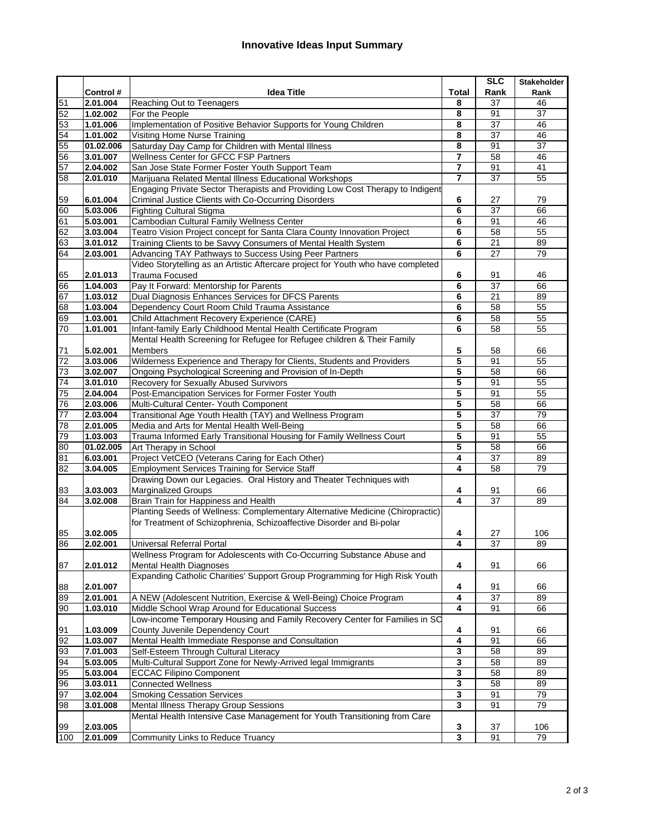|                 |                      |                                                                                                                         |                         | <b>SLC</b>      | <b>Stakeholder</b> |
|-----------------|----------------------|-------------------------------------------------------------------------------------------------------------------------|-------------------------|-----------------|--------------------|
|                 | Control #            | <b>Idea Title</b>                                                                                                       | <b>Total</b>            | Rank            | Rank               |
| 51              | 2.01.004             | Reaching Out to Teenagers                                                                                               | 8                       | 37              | 46                 |
| 52              | 1.02.002             | For the People                                                                                                          | 8                       | 91              | 37                 |
| 53              | 1.01.006             | Implementation of Positive Behavior Supports for Young Children                                                         | 8                       | 37              | 46                 |
| 54              | 1.01.002             | Visiting Home Nurse Training                                                                                            | 8                       | $\overline{37}$ | 46                 |
| 55              | 01.02.006            | Saturday Day Camp for Children with Mental Illness                                                                      | 8                       | 91              | 37                 |
| 56              | 3.01.007             | Wellness Center for GFCC FSP Partners                                                                                   | $\overline{7}$          | $\overline{58}$ | 46                 |
| 57              | 2.04.002             | San Jose State Former Foster Youth Support Team                                                                         | $\overline{7}$          | 91              | 41                 |
| 58              | 2.01.010             | Marijuana Related Mental Illness Educational Workshops                                                                  | $\overline{7}$          | 37              | 55                 |
|                 |                      | Engaging Private Sector Therapists and Providing Low Cost Therapy to Indigent                                           |                         |                 |                    |
| 59              | 6.01.004             | Criminal Justice Clients with Co-Occurring Disorders                                                                    | 6                       | 27              | 79                 |
| 60              | 5.03.006             | <b>Fighting Cultural Stigma</b>                                                                                         | 6                       | $\overline{37}$ | 66                 |
| 61              | 5.03.001             | Cambodian Cultural Family Wellness Center                                                                               | 6                       | 91              | 46                 |
| 62              | 3.03.004             | Teatro Vision Project concept for Santa Clara County Innovation Project                                                 | 6                       | $\overline{58}$ | 55                 |
| 63              | 3.01.012             | Training Clients to be Savvy Consumers of Mental Health System                                                          | 6                       | 21              | 89                 |
| 64              | 2.03.001             | Advancing TAY Pathways to Success Using Peer Partners                                                                   | 6                       | 27              | 79                 |
|                 |                      | Video Storytelling as an Artistic Aftercare project for Youth who have completed                                        |                         |                 |                    |
| 65              | 2.01.013             | <b>Trauma Focused</b>                                                                                                   | 6                       | 91              | 46                 |
| 66              | 1.04.003             | Pay It Forward: Mentorship for Parents                                                                                  | 6                       | 37              | 66                 |
| 67              | 1.03.012             | Dual Diagnosis Enhances Services for DFCS Parents                                                                       | 6                       | 21              | 89                 |
| 68              | 1.03.004             | Dependency Court Room Child Trauma Assistance                                                                           | 6                       | 58              | 55                 |
| 69              | 1.03.001             | Child Attachment Recovery Experience (CARE)                                                                             | 6                       | 58              | 55                 |
| 70              | 1.01.001             | Infant-family Early Childhood Mental Health Certificate Program                                                         | 6                       | 58              | 55                 |
|                 |                      | Mental Health Screening for Refugee for Refugee children & Their Family                                                 |                         |                 |                    |
| 71              | 5.02.001             | Members                                                                                                                 | 5                       | 58              | 66                 |
| $\overline{72}$ | 3.03.006             | Wilderness Experience and Therapy for Clients, Students and Providers                                                   | 5                       | 91              | 55                 |
| 73              | 3.02.007             | Ongoing Psychological Screening and Provision of In-Depth                                                               | 5                       | 58              | 66                 |
| $\overline{74}$ | 3.01.010             | Recovery for Sexually Abused Survivors                                                                                  | 5                       | 91              | 55                 |
| 75              | 2.04.004             | Post-Emancipation Services for Former Foster Youth                                                                      | 5                       | 91              | 55                 |
| 76              | 2.03.006             | Multi-Cultural Center- Youth Component                                                                                  | 5                       | 58              | 66                 |
| 77              | 2.03.004             | Transitional Age Youth Health (TAY) and Wellness Program                                                                | 5                       | 37              | 79                 |
| 78              | 2.01.005             | Media and Arts for Mental Health Well-Being                                                                             | 5                       | 58              | 66                 |
| 79              | 1.03.003             | Trauma Informed Early Transitional Housing for Family Wellness Court                                                    | 5                       | 91              | $\overline{55}$    |
| $\overline{8}$  | 01.02.005            | Art Therapy in School                                                                                                   | 5                       | $\overline{58}$ | 66                 |
| 81              | 6.03.001             | Project VetCEO (Veterans Caring for Each Other)                                                                         | 4                       | $\overline{37}$ | 89                 |
| $\overline{8}$  | 3.04.005             | <b>Employment Services Training for Service Staff</b>                                                                   | 4                       | 58              | 79                 |
|                 |                      | Drawing Down our Legacies. Oral History and Theater Techniques with                                                     |                         |                 |                    |
| 83              | 3.03.003             | <b>Marginalized Groups</b>                                                                                              | 4                       | 91              | 66                 |
| 84              | 3.02.008             | Brain Train for Happiness and Health                                                                                    | 4                       | 37              | 89                 |
|                 |                      | Planting Seeds of Wellness: Complementary Alternative Medicine (Chiropractic)                                           |                         |                 |                    |
|                 |                      | for Treatment of Schizophrenia, Schizoaffective Disorder and Bi-polar                                                   |                         |                 |                    |
| 85              | 3.02.005             |                                                                                                                         | 4                       | 27              | 106                |
| 86              | 2.02.001             | Universal Referral Portal                                                                                               | 4                       | 37              | 89                 |
|                 |                      | Wellness Program for Adolescents with Co-Occurring Substance Abuse and                                                  |                         |                 |                    |
| 87              | 2.01.012             | <b>Mental Health Diagnoses</b>                                                                                          | 4                       | 91              | 66                 |
|                 |                      | Expanding Catholic Charities' Support Group Programming for High Risk Youth                                             |                         |                 |                    |
| 88              | 2.01.007             |                                                                                                                         | 4<br>4                  | 91<br>37        | 66<br>89           |
| 89              | 2.01.001<br>1.03.010 | A NEW (Adolescent Nutrition, Exercise & Well-Being) Choice Program<br>Middle School Wrap Around for Educational Success | 4                       |                 |                    |
| 90              |                      | Low-income Temporary Housing and Family Recovery Center for Families in SC                                              |                         | 91              | 66                 |
| 91              | 1.03.009             | County Juvenile Dependency Court                                                                                        | 4                       | 91              |                    |
| 92              | 1.03.007             | Mental Health Immediate Response and Consultation                                                                       | $\overline{\mathbf{4}}$ | 91              | 66<br>66           |
| 93              | 7.01.003             | Self-Esteem Through Cultural Literacy                                                                                   | 3                       | 58              | 89                 |
| 94              | 5.03.005             | Multi-Cultural Support Zone for Newly-Arrived legal Immigrants                                                          | 3                       | 58              | 89                 |
| 95              | 5.03.004             | <b>ECCAC Filipino Component</b>                                                                                         | 3                       | $\overline{58}$ | 89                 |
| 96              | 3.03.011             | <b>Connected Wellness</b>                                                                                               | 3                       | 58              | 89                 |
| 97              | 3.02.004             | <b>Smoking Cessation Services</b>                                                                                       | $\overline{\mathbf{3}}$ | 91              | 79                 |
| 98              | 3.01.008             | <b>Mental Illness Therapy Group Sessions</b>                                                                            | 3                       | 91              | 79                 |
|                 |                      | Mental Health Intensive Case Management for Youth Transitioning from Care                                               |                         |                 |                    |
| 99              | 2.03.005             |                                                                                                                         | 3                       | 37              | 106                |
| 100             | 2.01.009             | Community Links to Reduce Truancy                                                                                       | $\overline{\mathbf{3}}$ | 91              | 79                 |
|                 |                      |                                                                                                                         |                         |                 |                    |